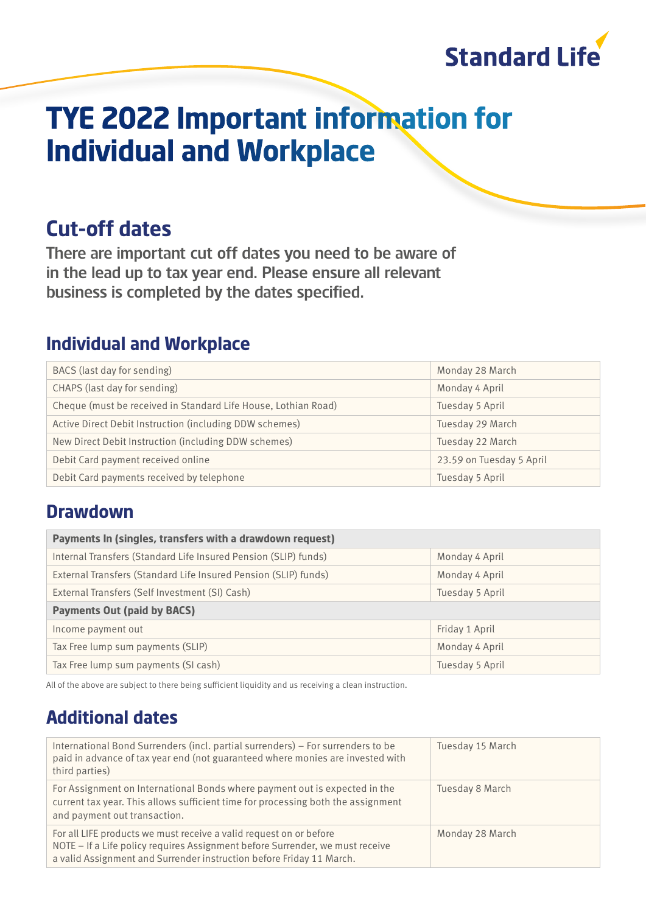

# **TYE 2022 Important information for Individual and Workplace**

# **Cut-off dates**

There are important cut off dates you need to be aware of in the lead up to tax year end. Please ensure all relevant business is completed by the dates specified.

### **Individual and Workplace**

| BACS (last day for sending)                                    | Monday 28 March          |
|----------------------------------------------------------------|--------------------------|
| CHAPS (last day for sending)                                   | Monday 4 April           |
| Cheque (must be received in Standard Life House, Lothian Road) | Tuesday 5 April          |
| Active Direct Debit Instruction (including DDW schemes)        | Tuesday 29 March         |
| New Direct Debit Instruction (including DDW schemes)           | Tuesday 22 March         |
| Debit Card payment received online                             | 23.59 on Tuesday 5 April |
| Debit Card payments received by telephone                      | Tuesday 5 April          |

### **Drawdown**

| Payments In (singles, transfers with a drawdown request)        |                 |  |
|-----------------------------------------------------------------|-----------------|--|
| Internal Transfers (Standard Life Insured Pension (SLIP) funds) | Monday 4 April  |  |
| External Transfers (Standard Life Insured Pension (SLIP) funds) | Monday 4 April  |  |
| External Transfers (Self Investment (SI) Cash)                  | Tuesday 5 April |  |
| <b>Payments Out (paid by BACS)</b>                              |                 |  |
| Income payment out                                              | Friday 1 April  |  |
| Tax Free lump sum payments (SLIP)                               | Monday 4 April  |  |
| Tax Free lump sum payments (SI cash)                            | Tuesday 5 April |  |

All of the above are subject to there being sufficient liquidity and us receiving a clean instruction.

# **Additional dates**

| International Bond Surrenders (incl. partial surrenders) - For surrenders to be<br>paid in advance of tax year end (not guaranteed where monies are invested with<br>third parties)                                         | Tuesday 15 March |
|-----------------------------------------------------------------------------------------------------------------------------------------------------------------------------------------------------------------------------|------------------|
| For Assignment on International Bonds where payment out is expected in the<br>current tax year. This allows sufficient time for processing both the assignment<br>and payment out transaction.                              | Tuesday 8 March  |
| For all LIFE products we must receive a valid request on or before<br>NOTE - If a Life policy requires Assignment before Surrender, we must receive<br>a valid Assignment and Surrender instruction before Friday 11 March. | Monday 28 March  |